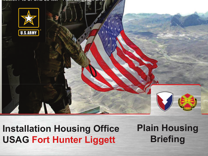

#### **USTAIRMENT HUUSING ONC USAG Fort Hunter LiggettInstallation Housing Office**

**Plain HousingBriefing**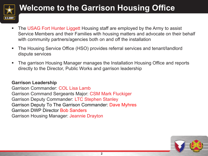

### **Welcome to the Garrison Housing Office**

- $\blacksquare$  The USAG Fort Hunter Liggett Housing staff are employed by the Army to assist Service Members and their Families with housing matters and advocate on their behalf with community partners/agencies both on and off the installation
- D. The Housing Service Office (HSO) provides referral services and tenant/landlord dispute services
- ш The garrison Housing Manager manages the Installation Housing Office and reports directly to the Director, Public Works and garrison leadership

#### **Garrison Leadership**

 Garrison Commander: COL Lisa Lamb Garrison Command Sergeants Major: CSM Mark Fluckiger Garrison Deputy Commander: LTC Stephen Stanley Garrison Deputy To The Garrison Commander: Dave MyhresGarrison DWP Director Bob SandersGarrison Housing Manager: Jeannie Drayton

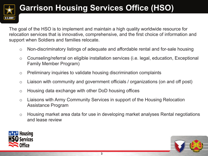

### **Garrison Housing Services Office (HSO)**

The goal of the HSO is to implement and maintain a high quality worldwide resource for relocation services that is innovative, comprehensive, and the first choice of information and support when Soldiers and families relocate.

- oNon-discriminatory listings of adequate and affordable rental and for-sale housing
- o Counseling/referral on eligible installation services (i.e. legal, education, Exceptional Family Member Program)
- oPreliminary inquiries to validate housing discrimination complaints
- oLiaison with community and government officials / organizations (on and off post)
- oHousing data exchange with other DoD housing offices
- o Liaisons with Army Community Services in support of the Housing Relocation Assistance Program
- o Housing market area data for use in developing market analyses Rental negotiations and lease review

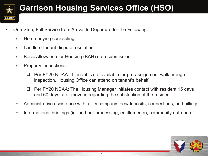

### **Garrison Housing Services Office (HSO)**

- • One-Stop, Full Service from Arrival to Departure for the Following:
	- oHome buying counseling
	- oLandlord-tenant dispute resolution
	- oBasic Allowance for Housing (BAH) data submission
	- o Property inspections
		- $\Box$  <sup>P</sup>er FY20 NDAA: If tenant is not available for pre-assignment walkthrough inspection, Housing Office can attend on tenant's behalf
		- $\Box$  Per FY20 NDAA: The Housing Manager initiate<sup>s</sup> contact with resident 15 day<sup>s</sup> and 60 days after move in regarding the satisfaction of the resident.
	- oAdministrative assistance with utility company fees/deposits, connections, and billings
	- oInformational briefings (in- and out-processing, entitlements), community outreach

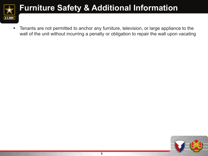

#### **Furniture Safety & Additional Information**

 $\mathcal{L}_{\mathcal{A}}$ ■ Tenants are not permitted to anchor any furniture, television, or large appliance to the wall of the unit without incurring <sup>a</sup> penalty or obligation to repair the wall upon vacating

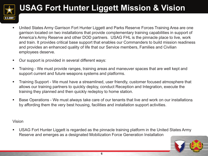

## **USAG Fort Hunter Liggett Mission & Vision**

- $\blacksquare$  United States Army Garrison Fort Hunter Liggett and Parks Reserve Forces Training Area are one garrison located on two installations that provide complementary training capabilities in support of America's Army Reserve and other DOD partners. USAG FHL is the pinnacle place to live, work and train. It provides critical base support that enables our Commanders to build mission readiness and provides an enhanced quality of life that our Service members, Families and Civilian employees deserve.
- п Our support is provided in several different ways:
- п Training - We must provide ranges, training areas and maneuver spaces that are well kept and support current and future weapons systems and platforms.
- $\blacksquare$  Training Support - We must have a streamlined, user friendly, customer focused atmosphere that allows our training partners to quickly deploy, conduct Reception and Integration, execute the training they planned and then quickly redeploy to home station.
- $\blacksquare$  Base Operations - We must always take care of our tenants that live and work on our installations by affording them the very best housing, facilities and installation support activities.

#### Vision

 $\blacksquare$  USAG Fort Hunter Liggett is regarded as the pinnacle training platform in the United States Army Reserve and emerges as a designated Mobilization Force Generation Installation